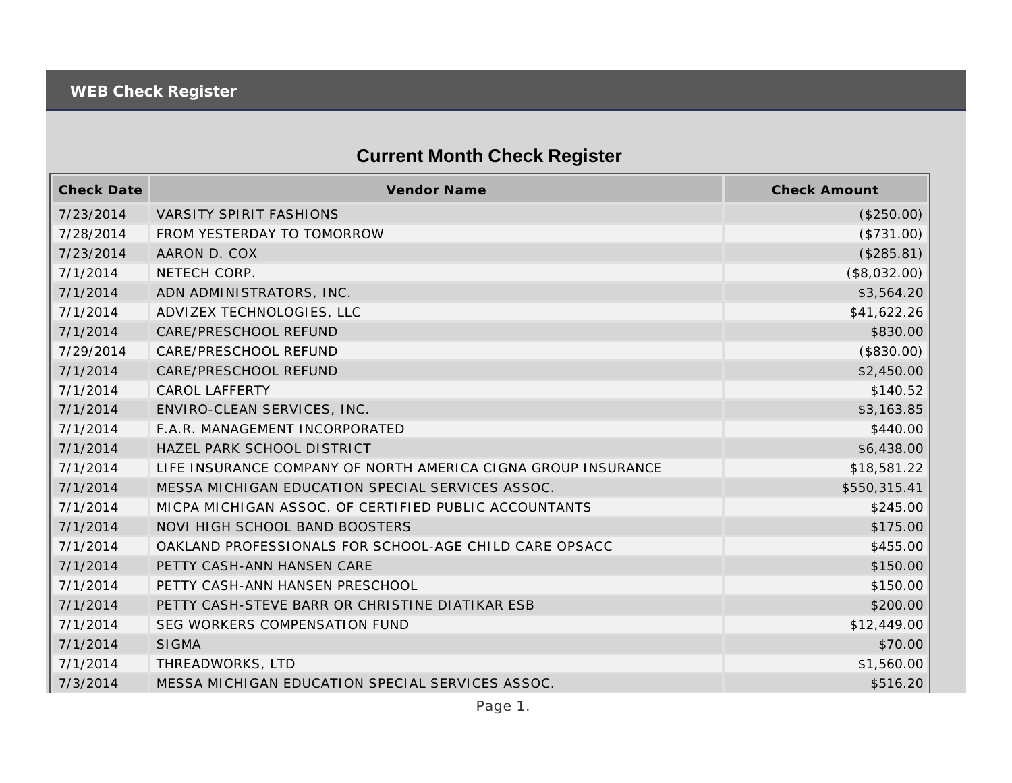## **Current Month Check Register**

| <b>Check Date</b> | <b>Vendor Name</b>                                            | <b>Check Amount</b> |
|-------------------|---------------------------------------------------------------|---------------------|
| 7/23/2014         | VARSITY SPIRIT FASHIONS                                       | (\$250.00)          |
| 7/28/2014         | FROM YESTERDAY TO TOMORROW                                    | (\$731.00)          |
| 7/23/2014         | AARON D. COX                                                  | (\$285.81)          |
| 7/1/2014          | NETECH CORP.                                                  | (\$8,032.00)        |
| 7/1/2014          | ADN ADMINISTRATORS, INC.                                      | \$3,564.20          |
| 7/1/2014          | ADVIZEX TECHNOLOGIES, LLC                                     | \$41,622.26         |
| 7/1/2014          | CARE/PRESCHOOL REFUND                                         | \$830.00            |
| 7/29/2014         | CARE/PRESCHOOL REFUND                                         | (\$830.00)          |
| 7/1/2014          | CARE/PRESCHOOL REFUND                                         | \$2,450.00          |
| 7/1/2014          | <b>CAROL LAFFERTY</b>                                         | \$140.52            |
| 7/1/2014          | ENVIRO-CLEAN SERVICES, INC.                                   | \$3,163.85          |
| 7/1/2014          | F.A.R. MANAGEMENT INCORPORATED                                | \$440.00            |
| 7/1/2014          | HAZEL PARK SCHOOL DISTRICT                                    | \$6,438.00          |
| 7/1/2014          | LIFE INSURANCE COMPANY OF NORTH AMERICA CIGNA GROUP INSURANCE | \$18,581.22         |
| 7/1/2014          | MESSA MICHIGAN EDUCATION SPECIAL SERVICES ASSOC.              | \$550,315.41        |
| 7/1/2014          | MICPA MICHIGAN ASSOC. OF CERTIFIED PUBLIC ACCOUNTANTS         | \$245.00            |
| 7/1/2014          | NOVI HIGH SCHOOL BAND BOOSTERS                                | \$175.00            |
| 7/1/2014          | OAKLAND PROFESSIONALS FOR SCHOOL-AGE CHILD CARE OPSACC        | \$455.00            |
| 7/1/2014          | PETTY CASH-ANN HANSEN CARE                                    | \$150.00            |
| 7/1/2014          | PETTY CASH-ANN HANSEN PRESCHOOL                               | \$150.00            |
| 7/1/2014          | PETTY CASH-STEVE BARR OR CHRISTINE DIATIKAR ESB               | \$200.00            |
| 7/1/2014          | SEG WORKERS COMPENSATION FUND                                 | \$12,449.00         |
| 7/1/2014          | <b>SIGMA</b>                                                  | \$70.00             |
| 7/1/2014          | THREADWORKS, LTD                                              | \$1,560.00          |
| 7/3/2014          | MESSA MICHIGAN EDUCATION SPECIAL SERVICES ASSOC.              | \$516.20            |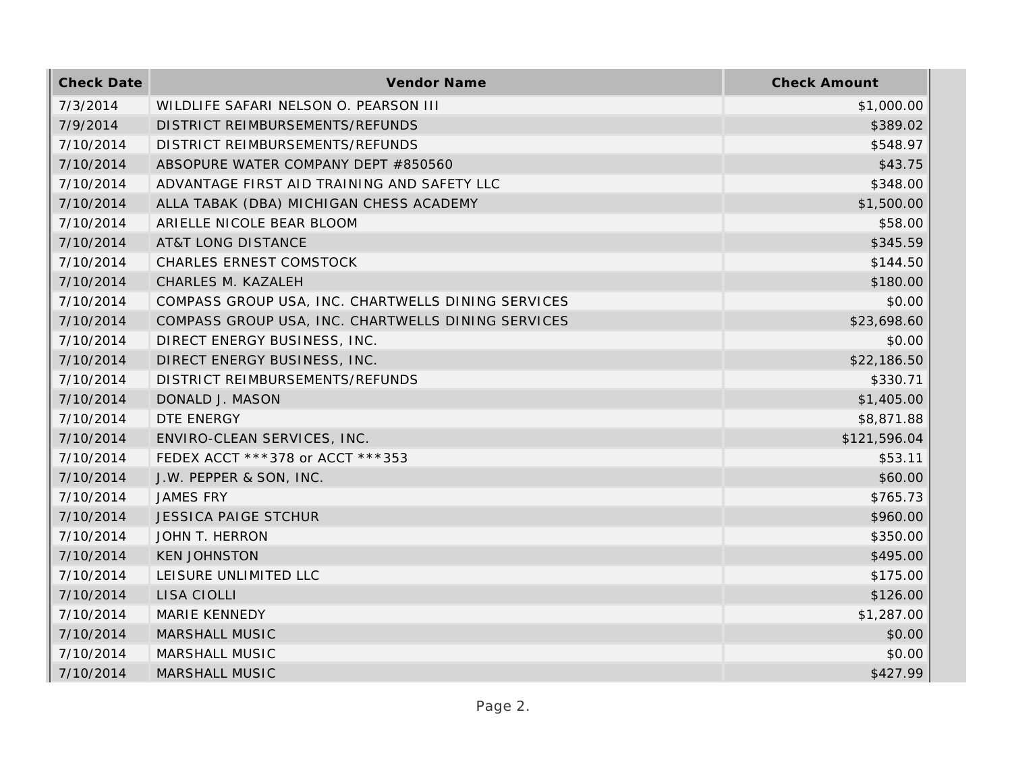| <b>Check Date</b> | Vendor Name                                        | <b>Check Amount</b> |
|-------------------|----------------------------------------------------|---------------------|
| 7/3/2014          | WILDLIFE SAFARI NELSON O. PEARSON III              | \$1,000.00          |
| 7/9/2014          | DISTRICT REIMBURSEMENTS/REFUNDS                    | \$389.02            |
| 7/10/2014         | DISTRICT REIMBURSEMENTS/REFUNDS                    | \$548.97            |
| 7/10/2014         | ABSOPURE WATER COMPANY DEPT #850560                | \$43.75             |
| 7/10/2014         | ADVANTAGE FIRST AID TRAINING AND SAFETY LLC        | \$348.00            |
| 7/10/2014         | ALLA TABAK (DBA) MICHIGAN CHESS ACADEMY            | \$1,500.00          |
| 7/10/2014         | ARIELLE NICOLE BEAR BLOOM                          | \$58.00             |
| 7/10/2014         | <b>AT&amp;T LONG DISTANCE</b>                      | \$345.59            |
| 7/10/2014         | CHARLES ERNEST COMSTOCK                            | \$144.50            |
| 7/10/2014         | CHARLES M. KAZALEH                                 | \$180.00            |
| 7/10/2014         | COMPASS GROUP USA, INC. CHARTWELLS DINING SERVICES | \$0.00              |
| 7/10/2014         | COMPASS GROUP USA, INC. CHARTWELLS DINING SERVICES | \$23,698.60         |
| 7/10/2014         | DIRECT ENERGY BUSINESS, INC.                       | \$0.00              |
| 7/10/2014         | DIRECT ENERGY BUSINESS, INC.                       | \$22,186.50         |
| 7/10/2014         | DISTRICT REIMBURSEMENTS/REFUNDS                    | \$330.71            |
| 7/10/2014         | DONALD J. MASON                                    | \$1,405.00          |
| 7/10/2014         | DTE ENERGY                                         | \$8,871.88          |
| 7/10/2014         | ENVIRO-CLEAN SERVICES, INC.                        | \$121,596.04        |
| 7/10/2014         | FEDEX ACCT ***378 or ACCT ***353                   | \$53.11             |
| 7/10/2014         | J.W. PEPPER & SON, INC.                            | \$60.00             |
| 7/10/2014         | <b>JAMES FRY</b>                                   | \$765.73            |
| 7/10/2014         | <b>JESSICA PAIGE STCHUR</b>                        | \$960.00            |
| 7/10/2014         | JOHN T. HERRON                                     | \$350.00            |
| 7/10/2014         | <b>KEN JOHNSTON</b>                                | \$495.00            |
| 7/10/2014         | LEISURE UNLIMITED LLC                              | \$175.00            |
| 7/10/2014         | LISA CIOLLI                                        | \$126.00            |
| 7/10/2014         | <b>MARIE KENNEDY</b>                               | \$1,287.00          |
| 7/10/2014         | MARSHALL MUSIC                                     | \$0.00              |
| 7/10/2014         | MARSHALL MUSIC                                     | \$0.00              |
| 7/10/2014         | <b>MARSHALL MUSIC</b>                              | \$427.99            |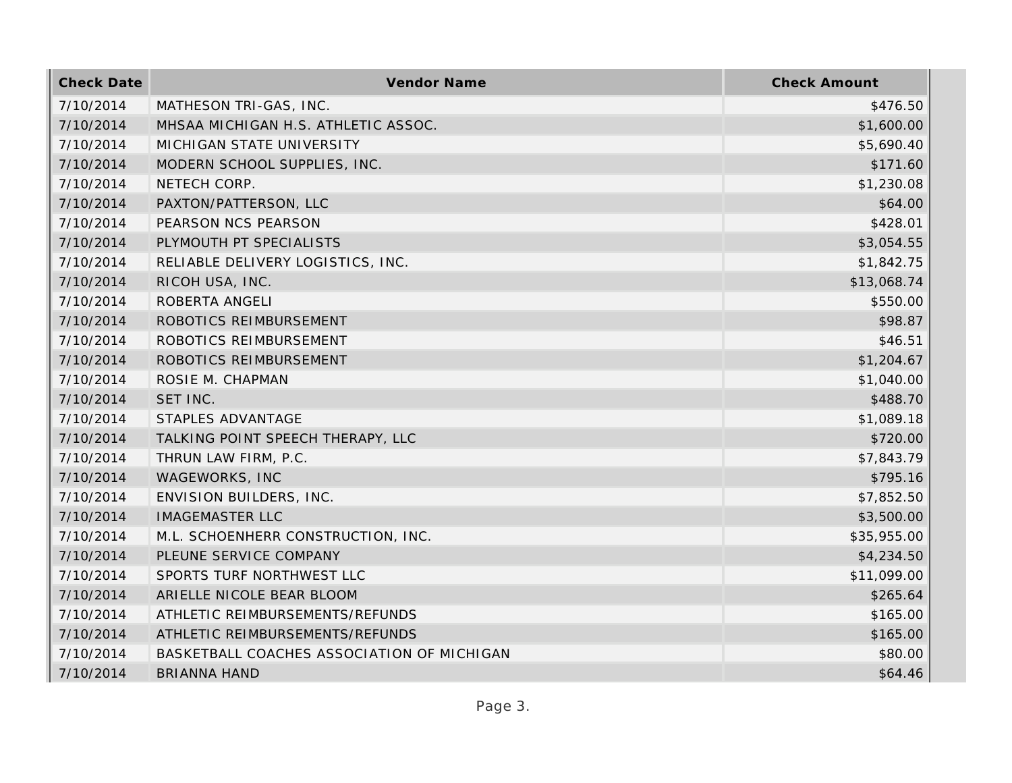| <b>Check Date</b> | Vendor Name                                | <b>Check Amount</b> |
|-------------------|--------------------------------------------|---------------------|
| 7/10/2014         | MATHESON TRI-GAS, INC.                     | \$476.50            |
| 7/10/2014         | MHSAA MICHIGAN H.S. ATHLETIC ASSOC.        | \$1,600.00          |
| 7/10/2014         | MICHIGAN STATE UNIVERSITY                  | \$5,690.40          |
| 7/10/2014         | MODERN SCHOOL SUPPLIES, INC.               | \$171.60            |
| 7/10/2014         | NETECH CORP.                               | \$1,230.08          |
| 7/10/2014         | PAXTON/PATTERSON, LLC                      | \$64.00             |
| 7/10/2014         | PEARSON NCS PEARSON                        | \$428.01            |
| 7/10/2014         | PLYMOUTH PT SPECIALISTS                    | \$3,054.55          |
| 7/10/2014         | RELIABLE DELIVERY LOGISTICS, INC.          | \$1,842.75          |
| 7/10/2014         | RICOH USA, INC.                            | \$13,068.74         |
| 7/10/2014         | ROBERTA ANGELI                             | \$550.00            |
| 7/10/2014         | ROBOTICS REIMBURSEMENT                     | \$98.87             |
| 7/10/2014         | ROBOTICS REIMBURSEMENT                     | \$46.51             |
| 7/10/2014         | ROBOTICS REIMBURSEMENT                     | \$1,204.67          |
| 7/10/2014         | ROSIE M. CHAPMAN                           | \$1,040.00          |
| 7/10/2014         | SET INC.                                   | \$488.70            |
| 7/10/2014         | STAPLES ADVANTAGE                          | \$1,089.18          |
| 7/10/2014         | TALKING POINT SPEECH THERAPY, LLC          | \$720.00            |
| 7/10/2014         | THRUN LAW FIRM, P.C.                       | \$7,843.79          |
| 7/10/2014         | WAGEWORKS, INC                             | \$795.16            |
| 7/10/2014         | ENVISION BUILDERS, INC.                    | \$7,852.50          |
| 7/10/2014         | <b>IMAGEMASTER LLC</b>                     | \$3,500.00          |
| 7/10/2014         | M.L. SCHOENHERR CONSTRUCTION, INC.         | \$35,955.00         |
| 7/10/2014         | PLEUNE SERVICE COMPANY                     | \$4,234.50          |
| 7/10/2014         | SPORTS TURF NORTHWEST LLC                  | \$11,099.00         |
| 7/10/2014         | ARIELLE NICOLE BEAR BLOOM                  | \$265.64            |
| 7/10/2014         | ATHLETIC REIMBURSEMENTS/REFUNDS            | \$165.00            |
| 7/10/2014         | ATHLETIC REIMBURSEMENTS/REFUNDS            | \$165.00            |
| 7/10/2014         | BASKETBALL COACHES ASSOCIATION OF MICHIGAN | \$80.00             |
| 7/10/2014         | <b>BRIANNA HAND</b>                        | \$64.46             |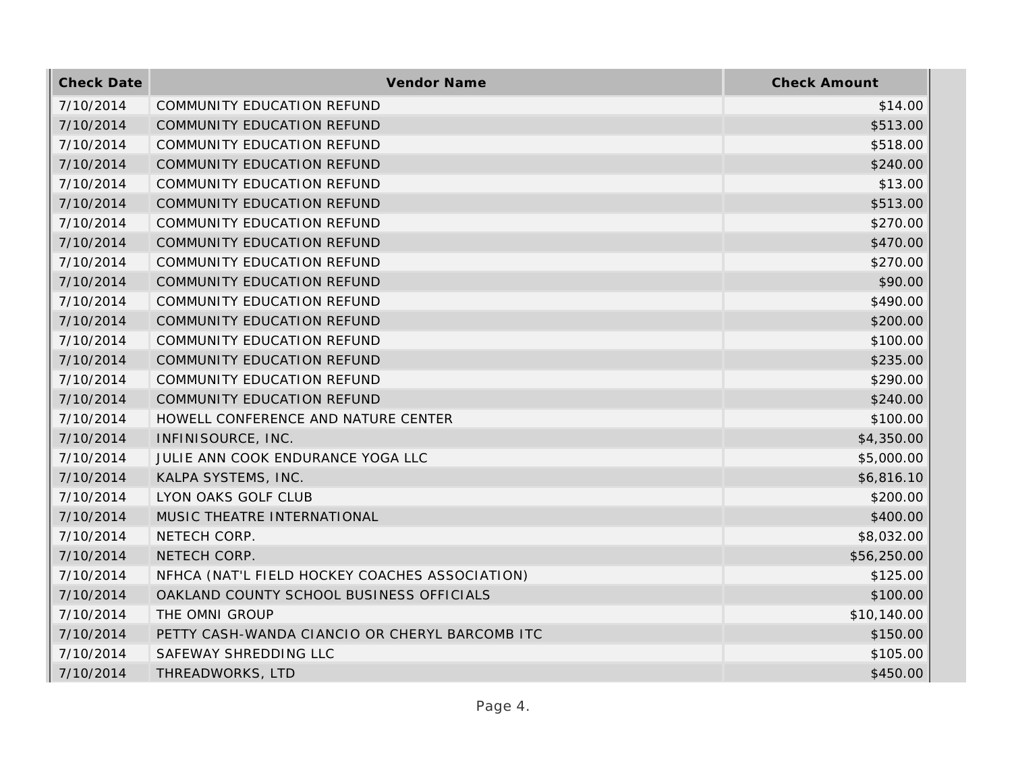| <b>Check Date</b> | <b>Vendor Name</b>                             | <b>Check Amount</b> |
|-------------------|------------------------------------------------|---------------------|
| 7/10/2014         | <b>COMMUNITY EDUCATION REFUND</b>              | \$14.00             |
| 7/10/2014         | COMMUNITY EDUCATION REFUND                     | \$513.00            |
| 7/10/2014         | COMMUNITY EDUCATION REFUND                     | \$518.00            |
| 7/10/2014         | COMMUNITY EDUCATION REFUND                     | \$240.00            |
| 7/10/2014         | COMMUNITY EDUCATION REFUND                     | \$13.00             |
| 7/10/2014         | COMMUNITY EDUCATION REFUND                     | \$513.00            |
| 7/10/2014         | COMMUNITY EDUCATION REFUND                     | \$270.00            |
| 7/10/2014         | COMMUNITY EDUCATION REFUND                     | \$470.00            |
| 7/10/2014         | COMMUNITY EDUCATION REFUND                     | \$270.00            |
| 7/10/2014         | COMMUNITY EDUCATION REFUND                     | \$90.00             |
| 7/10/2014         | COMMUNITY EDUCATION REFUND                     | \$490.00            |
| 7/10/2014         | COMMUNITY EDUCATION REFUND                     | \$200.00            |
| 7/10/2014         | COMMUNITY EDUCATION REFUND                     | \$100.00            |
| 7/10/2014         | COMMUNITY EDUCATION REFUND                     | \$235.00            |
| 7/10/2014         | COMMUNITY EDUCATION REFUND                     | \$290.00            |
| 7/10/2014         | COMMUNITY EDUCATION REFUND                     | \$240.00            |
| 7/10/2014         | HOWELL CONFERENCE AND NATURE CENTER            | \$100.00            |
| 7/10/2014         | INFINISOURCE, INC.                             | \$4,350.00          |
| 7/10/2014         | JULIE ANN COOK ENDURANCE YOGA LLC              | \$5,000.00          |
| 7/10/2014         | KALPA SYSTEMS, INC.                            | \$6,816.10          |
| 7/10/2014         | LYON OAKS GOLF CLUB                            | \$200.00            |
| 7/10/2014         | MUSIC THEATRE INTERNATIONAL                    | \$400.00            |
| 7/10/2014         | NETECH CORP.                                   | \$8,032.00          |
| 7/10/2014         | NETECH CORP.                                   | \$56,250.00         |
| 7/10/2014         | NFHCA (NAT'L FIELD HOCKEY COACHES ASSOCIATION) | \$125.00            |
| 7/10/2014         | OAKLAND COUNTY SCHOOL BUSINESS OFFICIALS       | \$100.00            |
| 7/10/2014         | THE OMNI GROUP                                 | \$10,140.00         |
| 7/10/2014         | PETTY CASH-WANDA CIANCIO OR CHERYL BARCOMB ITC | \$150.00            |
| 7/10/2014         | SAFEWAY SHREDDING LLC                          | \$105.00            |
| 7/10/2014         | THREADWORKS, LTD                               | \$450.00            |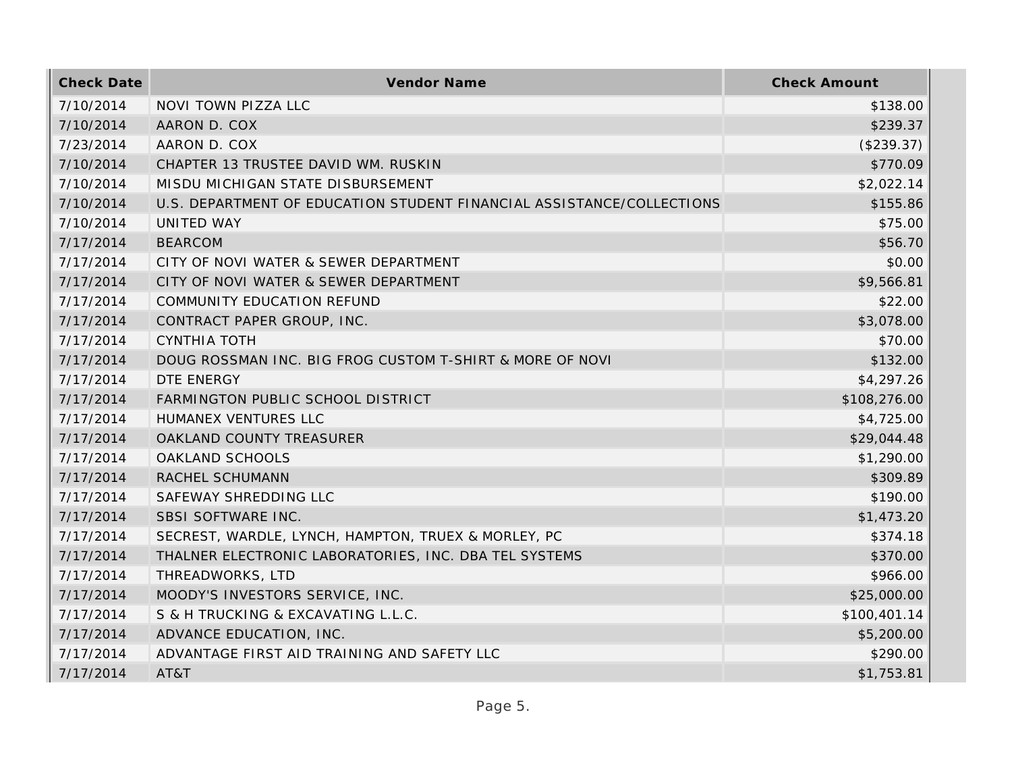| <b>Check Date</b> | Vendor Name                                                           | <b>Check Amount</b> |
|-------------------|-----------------------------------------------------------------------|---------------------|
| 7/10/2014         | NOVI TOWN PIZZA LLC                                                   | \$138.00            |
| 7/10/2014         | AARON D. COX                                                          | \$239.37            |
| 7/23/2014         | AARON D. COX                                                          | (\$239.37)          |
| 7/10/2014         | CHAPTER 13 TRUSTEE DAVID WM. RUSKIN                                   | \$770.09            |
| 7/10/2014         | MISDU MICHIGAN STATE DISBURSEMENT                                     | \$2,022.14          |
| 7/10/2014         | U.S. DEPARTMENT OF EDUCATION STUDENT FINANCIAL ASSISTANCE/COLLECTIONS | \$155.86            |
| 7/10/2014         | UNITED WAY                                                            | \$75.00             |
| 7/17/2014         | <b>BEARCOM</b>                                                        | \$56.70             |
| 7/17/2014         | CITY OF NOVI WATER & SEWER DEPARTMENT                                 | \$0.00              |
| 7/17/2014         | CITY OF NOVI WATER & SEWER DEPARTMENT                                 | \$9,566.81          |
| 7/17/2014         | COMMUNITY EDUCATION REFUND                                            | \$22.00             |
| 7/17/2014         | CONTRACT PAPER GROUP, INC.                                            | \$3,078.00          |
| 7/17/2014         | <b>CYNTHIA TOTH</b>                                                   | \$70.00             |
| 7/17/2014         | DOUG ROSSMAN INC. BIG FROG CUSTOM T-SHIRT & MORE OF NOVI              | \$132.00            |
| 7/17/2014         | DTE ENERGY                                                            | \$4,297.26          |
| 7/17/2014         | FARMINGTON PUBLIC SCHOOL DISTRICT                                     | \$108,276.00        |
| 7/17/2014         | HUMANEX VENTURES LLC                                                  | \$4,725.00          |
| 7/17/2014         | OAKLAND COUNTY TREASURER                                              | \$29,044.48         |
| 7/17/2014         | OAKLAND SCHOOLS                                                       | \$1,290.00          |
| 7/17/2014         | RACHEL SCHUMANN                                                       | \$309.89            |
| 7/17/2014         | SAFEWAY SHREDDING LLC                                                 | \$190.00            |
| 7/17/2014         | SBSI SOFTWARE INC.                                                    | \$1,473.20          |
| 7/17/2014         | SECREST, WARDLE, LYNCH, HAMPTON, TRUEX & MORLEY, PC                   | \$374.18            |
| 7/17/2014         | THALNER ELECTRONIC LABORATORIES, INC. DBA TEL SYSTEMS                 | \$370.00            |
| 7/17/2014         | THREADWORKS, LTD                                                      | \$966.00            |
| 7/17/2014         | MOODY'S INVESTORS SERVICE, INC.                                       | \$25,000.00         |
| 7/17/2014         | S & H TRUCKING & EXCAVATING L.L.C.                                    | \$100,401.14        |
| 7/17/2014         | ADVANCE EDUCATION, INC.                                               | \$5,200.00          |
| 7/17/2014         | ADVANTAGE FIRST AID TRAINING AND SAFETY LLC                           | \$290.00            |
| 7/17/2014         | AT&T                                                                  | \$1,753.81          |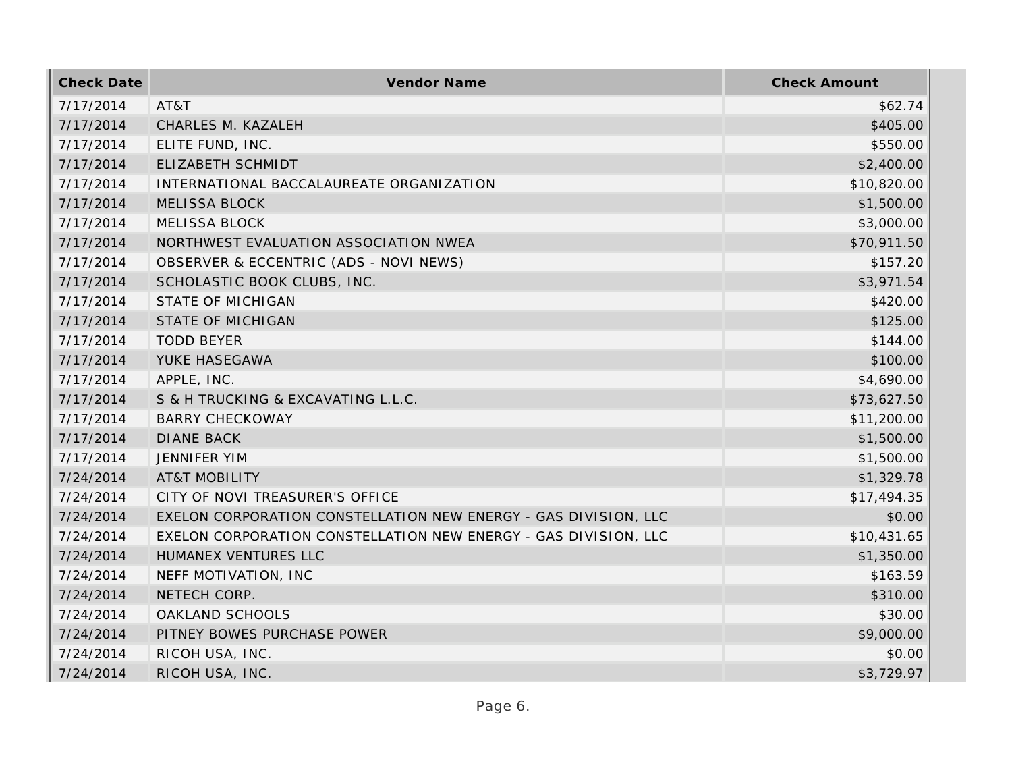| <b>Check Date</b> | Vendor Name                                                     | <b>Check Amount</b> |
|-------------------|-----------------------------------------------------------------|---------------------|
| 7/17/2014         | AT&T                                                            | \$62.74             |
| 7/17/2014         | CHARLES M. KAZALEH                                              | \$405.00            |
| 7/17/2014         | ELITE FUND, INC.                                                | \$550.00            |
| 7/17/2014         | ELIZABETH SCHMIDT                                               | \$2,400.00          |
| 7/17/2014         | INTERNATIONAL BACCALAUREATE ORGANIZATION                        | \$10,820.00         |
| 7/17/2014         | <b>MELISSA BLOCK</b>                                            | \$1,500.00          |
| 7/17/2014         | <b>MELISSA BLOCK</b>                                            | \$3,000.00          |
| 7/17/2014         | NORTHWEST EVALUATION ASSOCIATION NWEA                           | \$70,911.50         |
| 7/17/2014         | OBSERVER & ECCENTRIC (ADS - NOVI NEWS)                          | \$157.20            |
| 7/17/2014         | SCHOLASTIC BOOK CLUBS, INC.                                     | \$3,971.54          |
| 7/17/2014         | <b>STATE OF MICHIGAN</b>                                        | \$420.00            |
| 7/17/2014         | <b>STATE OF MICHIGAN</b>                                        | \$125.00            |
| 7/17/2014         | <b>TODD BEYER</b>                                               | \$144.00            |
| 7/17/2014         | YUKE HASEGAWA                                                   | \$100.00            |
| 7/17/2014         | APPLE, INC.                                                     | \$4,690.00          |
| 7/17/2014         | S & H TRUCKING & EXCAVATING L.L.C.                              | \$73,627.50         |
| 7/17/2014         | <b>BARRY CHECKOWAY</b>                                          | \$11,200.00         |
| 7/17/2014         | <b>DIANE BACK</b>                                               | \$1,500.00          |
| 7/17/2014         | <b>JENNIFER YIM</b>                                             | \$1,500.00          |
| 7/24/2014         | <b>AT&amp;T MOBILITY</b>                                        | \$1,329.78          |
| 7/24/2014         | CITY OF NOVI TREASURER'S OFFICE                                 | \$17,494.35         |
| 7/24/2014         | EXELON CORPORATION CONSTELLATION NEW ENERGY - GAS DIVISION, LLC | \$0.00              |
| 7/24/2014         | EXELON CORPORATION CONSTELLATION NEW ENERGY - GAS DIVISION, LLC | \$10,431.65         |
| 7/24/2014         | HUMANEX VENTURES LLC                                            | \$1,350.00          |
| 7/24/2014         | NEFF MOTIVATION, INC                                            | \$163.59            |
| 7/24/2014         | NETECH CORP.                                                    | \$310.00            |
| 7/24/2014         | OAKLAND SCHOOLS                                                 | \$30.00             |
| 7/24/2014         | PITNEY BOWES PURCHASE POWER                                     | \$9,000.00          |
| 7/24/2014         | RICOH USA, INC.                                                 | \$0.00              |
| 7/24/2014         | RICOH USA, INC.                                                 | \$3,729.97          |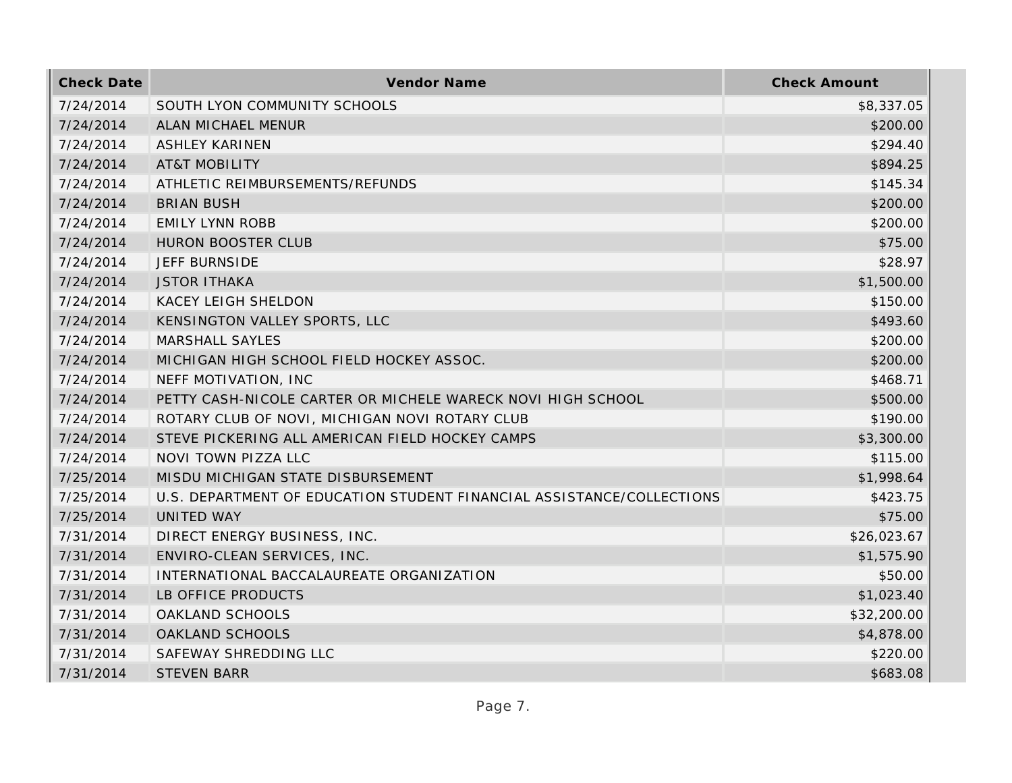| <b>Check Date</b> | Vendor Name                                                           | <b>Check Amount</b> |
|-------------------|-----------------------------------------------------------------------|---------------------|
| 7/24/2014         | SOUTH LYON COMMUNITY SCHOOLS                                          | \$8,337.05          |
| 7/24/2014         | ALAN MICHAEL MENUR                                                    | \$200.00            |
| 7/24/2014         | <b>ASHLEY KARINEN</b>                                                 | \$294.40            |
| 7/24/2014         | <b>AT&amp;T MOBILITY</b>                                              | \$894.25            |
| 7/24/2014         | ATHLETIC REIMBURSEMENTS/REFUNDS                                       | \$145.34            |
| 7/24/2014         | <b>BRIAN BUSH</b>                                                     | \$200.00            |
| 7/24/2014         | <b>EMILY LYNN ROBB</b>                                                | \$200.00            |
| 7/24/2014         | <b>HURON BOOSTER CLUB</b>                                             | \$75.00             |
| 7/24/2014         | <b>JEFF BURNSIDE</b>                                                  | \$28.97             |
| 7/24/2014         | <b>JSTOR ITHAKA</b>                                                   | \$1,500.00          |
| 7/24/2014         | <b>KACEY LEIGH SHELDON</b>                                            | \$150.00            |
| 7/24/2014         | KENSINGTON VALLEY SPORTS, LLC                                         | \$493.60            |
| 7/24/2014         | <b>MARSHALL SAYLES</b>                                                | \$200.00            |
| 7/24/2014         | MICHIGAN HIGH SCHOOL FIELD HOCKEY ASSOC.                              | \$200.00            |
| 7/24/2014         | NEFF MOTIVATION, INC                                                  | \$468.71            |
| 7/24/2014         | PETTY CASH-NICOLE CARTER OR MICHELE WARECK NOVI HIGH SCHOOL           | \$500.00            |
| 7/24/2014         | ROTARY CLUB OF NOVI, MICHIGAN NOVI ROTARY CLUB                        | \$190.00            |
| 7/24/2014         | STEVE PICKERING ALL AMERICAN FIELD HOCKEY CAMPS                       | \$3,300.00          |
| 7/24/2014         | NOVI TOWN PIZZA LLC                                                   | \$115.00            |
| 7/25/2014         | MISDU MICHIGAN STATE DISBURSEMENT                                     | \$1,998.64          |
| 7/25/2014         | U.S. DEPARTMENT OF EDUCATION STUDENT FINANCIAL ASSISTANCE/COLLECTIONS | \$423.75            |
| 7/25/2014         | <b>UNITED WAY</b>                                                     | \$75.00             |
| 7/31/2014         | DIRECT ENERGY BUSINESS, INC.                                          | \$26,023.67         |
| 7/31/2014         | ENVIRO-CLEAN SERVICES, INC.                                           | \$1,575.90          |
| 7/31/2014         | INTERNATIONAL BACCALAUREATE ORGANIZATION                              | \$50.00             |
| 7/31/2014         | LB OFFICE PRODUCTS                                                    | \$1,023.40          |
| 7/31/2014         | OAKLAND SCHOOLS                                                       | \$32,200.00         |
| 7/31/2014         | OAKLAND SCHOOLS                                                       | \$4,878.00          |
| 7/31/2014         | SAFEWAY SHREDDING LLC                                                 | \$220.00            |
| 7/31/2014         | <b>STEVEN BARR</b>                                                    | \$683.08            |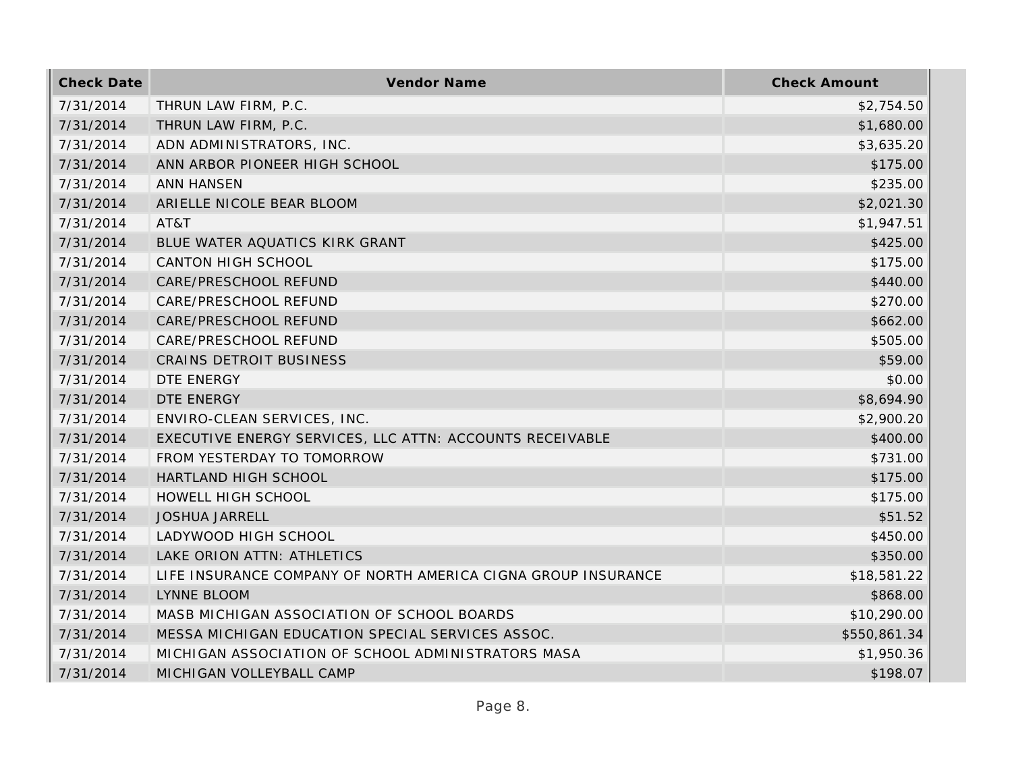| <b>Check Date</b> | Vendor Name                                                   | <b>Check Amount</b> |
|-------------------|---------------------------------------------------------------|---------------------|
| 7/31/2014         | THRUN LAW FIRM, P.C.                                          | \$2,754.50          |
| 7/31/2014         | THRUN LAW FIRM, P.C.                                          | \$1,680.00          |
| 7/31/2014         | ADN ADMINISTRATORS, INC.                                      | \$3,635.20          |
| 7/31/2014         | ANN ARBOR PIONEER HIGH SCHOOL                                 | \$175.00            |
| 7/31/2014         | <b>ANN HANSEN</b>                                             | \$235.00            |
| 7/31/2014         | ARIELLE NICOLE BEAR BLOOM                                     | \$2,021.30          |
| 7/31/2014         | AT&T                                                          | \$1,947.51          |
| 7/31/2014         | BLUE WATER AQUATICS KIRK GRANT                                | \$425.00            |
| 7/31/2014         | <b>CANTON HIGH SCHOOL</b>                                     | \$175.00            |
| 7/31/2014         | CARE/PRESCHOOL REFUND                                         | \$440.00            |
| 7/31/2014         | CARE/PRESCHOOL REFUND                                         | \$270.00            |
| 7/31/2014         | CARE/PRESCHOOL REFUND                                         | \$662.00            |
| 7/31/2014         | CARE/PRESCHOOL REFUND                                         | \$505.00            |
| 7/31/2014         | CRAINS DETROIT BUSINESS                                       | \$59.00             |
| 7/31/2014         | DTE ENERGY                                                    | \$0.00              |
| 7/31/2014         | <b>DTE ENERGY</b>                                             | \$8,694.90          |
| 7/31/2014         | ENVIRO-CLEAN SERVICES, INC.                                   | \$2,900.20          |
| 7/31/2014         | EXECUTIVE ENERGY SERVICES, LLC ATTN: ACCOUNTS RECEIVABLE      | \$400.00            |
| 7/31/2014         | FROM YESTERDAY TO TOMORROW                                    | \$731.00            |
| 7/31/2014         | HARTLAND HIGH SCHOOL                                          | \$175.00            |
| 7/31/2014         | HOWELL HIGH SCHOOL                                            | \$175.00            |
| 7/31/2014         | <b>JOSHUA JARRELL</b>                                         | \$51.52             |
| 7/31/2014         | LADYWOOD HIGH SCHOOL                                          | \$450.00            |
| 7/31/2014         | LAKE ORION ATTN: ATHLETICS                                    | \$350.00            |
| 7/31/2014         | LIFE INSURANCE COMPANY OF NORTH AMERICA CIGNA GROUP INSURANCE | \$18,581.22         |
| 7/31/2014         | <b>LYNNE BLOOM</b>                                            | \$868.00            |
| 7/31/2014         | MASB MICHIGAN ASSOCIATION OF SCHOOL BOARDS                    | \$10,290.00         |
| 7/31/2014         | MESSA MICHIGAN EDUCATION SPECIAL SERVICES ASSOC.              | \$550,861.34        |
| 7/31/2014         | MICHIGAN ASSOCIATION OF SCHOOL ADMINISTRATORS MASA            | \$1,950.36          |
| 7/31/2014         | MICHIGAN VOLLEYBALL CAMP                                      | \$198.07            |